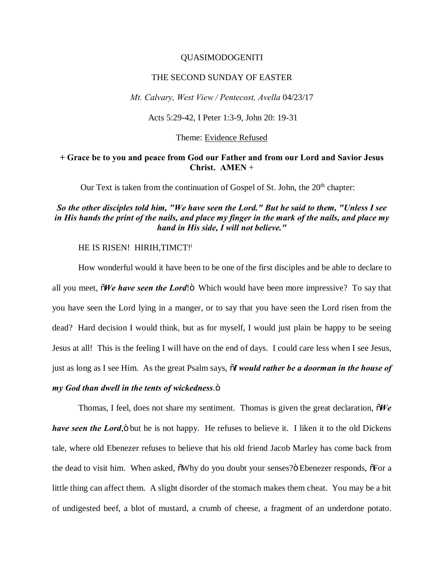### QUASIMODOGENITI

#### THE SECOND SUNDAY OF EASTER

*Mt. Calvary, West View / Pentecost, Avella* 04/23/17

Acts 5:29-42, I Peter 1:3-9, John 20: 19-31

#### Theme: Evidence Refused

### **+ Grace be to you and peace from God our Father and from our Lord and Savior Jesus Christ. AMEN** +

Our Text is taken from the continuation of Gospel of St. John, the  $20<sup>th</sup>$  chapter:

## *So the other disciples told him, "We have seen the Lord." But he said to them, "Unless I see in His hands the print of the nails, and place my finger in the mark of the nails, and place my hand in His side, I will not believe."*

## HE IS RISEN! HIRIH, TIMCT!<sup>i</sup>

How wonderful would it have been to be one of the first disciples and be able to declare to all you meet,  $\tilde{o}$ *We have seen the Lord*! $\tilde{o}$  Which would have been more impressive? To say that you have seen the Lord lying in a manger, or to say that you have seen the Lord risen from the dead? Hard decision I would think, but as for myself, I would just plain be happy to be seeing Jesus at all! This is the feeling I will have on the end of days. I could care less when I see Jesus, just as long as I see Him. As the great Psalm says, "*I would rather be a doorman in the house of my God than dwell in the tents of wickedness.* $\ddot{\text{o}}$ 

Thomas, I feel, does not share my sentiment. Thomas is given the great declaration,  $\delta W e$ *have seen the Lord*,  $\ddot{o}$  but he is not happy. He refuses to believe it. I liken it to the old Dickens tale, where old Ebenezer refuses to believe that his old friend Jacob Marley has come back from the dead to visit him. When asked,  $\delta$ Why do you doubt your senses? $\ddot{o}$  Ebenezer responds,  $\delta$ For a little thing can affect them. A slight disorder of the stomach makes them cheat. You may be a bit of undigested beef, a blot of mustard, a crumb of cheese, a fragment of an underdone potato.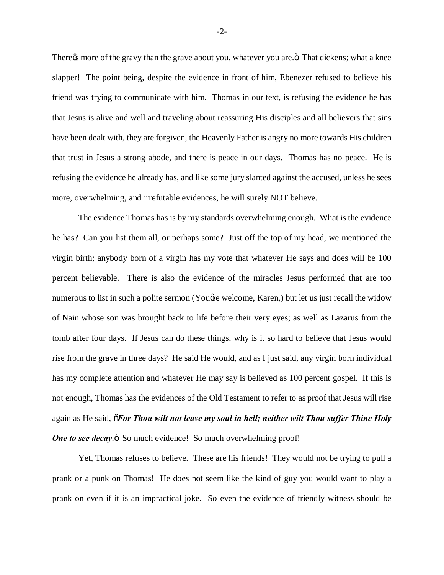There *n* more of the gravy than the grave about you, whatever you are. That dickens; what a knee slapper! The point being, despite the evidence in front of him, Ebenezer refused to believe his friend was trying to communicate with him. Thomas in our text, is refusing the evidence he has that Jesus is alive and well and traveling about reassuring His disciples and all believers that sins have been dealt with, they are forgiven, the Heavenly Father is angry no more towards His children that trust in Jesus a strong abode, and there is peace in our days. Thomas has no peace. He is refusing the evidence he already has, and like some jury slanted against the accused, unless he sees more, overwhelming, and irrefutable evidences, he will surely NOT believe.

The evidence Thomas has is by my standards overwhelming enough. What is the evidence he has? Can you list them all, or perhaps some? Just off the top of my head, we mentioned the virgin birth; anybody born of a virgin has my vote that whatever He says and does will be 100 percent believable. There is also the evidence of the miracles Jesus performed that are too numerous to list in such a polite sermon (Yougre welcome, Karen,) but let us just recall the widow of Nain whose son was brought back to life before their very eyes; as well as Lazarus from the tomb after four days. If Jesus can do these things, why is it so hard to believe that Jesus would rise from the grave in three days? He said He would, and as I just said, any virgin born individual has my complete attention and whatever He may say is believed as 100 percent gospel. If this is not enough, Thomas has the evidences of the Old Testament to refer to as proof that Jesus will rise again as He said, "*For Thou wilt not leave my soul in hell; neither wilt Thou suffer Thine Holy One to see decay.* So much evidence! So much overwhelming proof!

Yet, Thomas refuses to believe. These are his friends! They would not be trying to pull a prank or a punk on Thomas! He does not seem like the kind of guy you would want to play a prank on even if it is an impractical joke. So even the evidence of friendly witness should be

-2-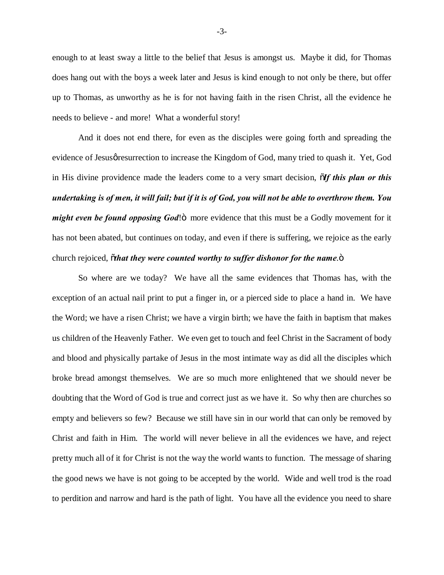enough to at least sway a little to the belief that Jesus is amongst us. Maybe it did, for Thomas does hang out with the boys a week later and Jesus is kind enough to not only be there, but offer up to Thomas, as unworthy as he is for not having faith in the risen Christ, all the evidence he needs to believe - and more! What a wonderful story!

And it does not end there, for even as the disciples were going forth and spreading the evidence of Jesusø resurrection to increase the Kingdom of God, many tried to quash it. Yet, God in His divine providence made the leaders come to a very smart decision,  $\tilde{\sigma}$ *If this plan or this undertaking is of men, it will fail; but if it is of God, you will not be able to overthrow them. You might even be found opposing God*!<sup>"</sup> more evidence that this must be a Godly movement for it has not been abated, but continues on today, and even if there is suffering, we rejoice as the early church rejoiced, othat they were counted worthy to suffer dishonor for the name.<sup>"</sup>

So where are we today? We have all the same evidences that Thomas has, with the exception of an actual nail print to put a finger in, or a pierced side to place a hand in. We have the Word; we have a risen Christ; we have a virgin birth; we have the faith in baptism that makes us children of the Heavenly Father. We even get to touch and feel Christ in the Sacrament of body and blood and physically partake of Jesus in the most intimate way as did all the disciples which broke bread amongst themselves. We are so much more enlightened that we should never be doubting that the Word of God is true and correct just as we have it. So why then are churches so empty and believers so few? Because we still have sin in our world that can only be removed by Christ and faith in Him. The world will never believe in all the evidences we have, and reject pretty much all of it for Christ is not the way the world wants to function. The message of sharing the good news we have is not going to be accepted by the world. Wide and well trod is the road to perdition and narrow and hard is the path of light. You have all the evidence you need to share